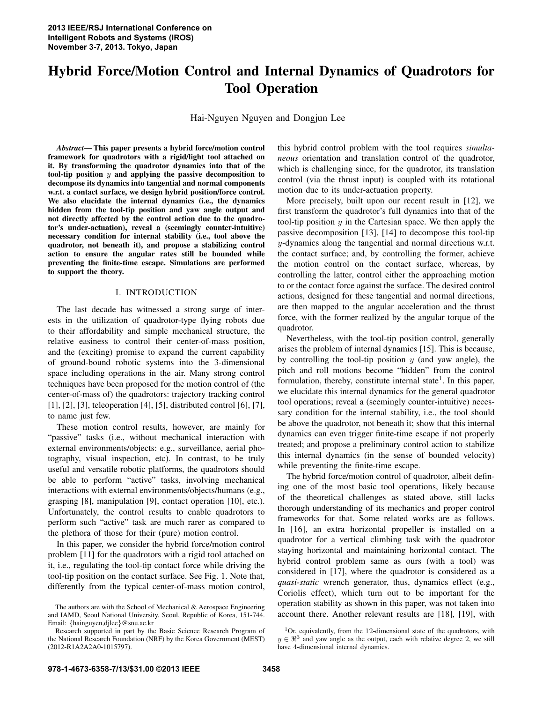# Hybrid Force/Motion Control and Internal Dynamics of Quadrotors for Tool Operation

Hai-Nguyen Nguyen and Dongjun Lee

*Abstract*— This paper presents a hybrid force/motion control framework for quadrotors with a rigid/light tool attached on it. By transforming the quadrotor dynamics into that of the tool-tip position  $y$  and applying the passive decomposition to decompose its dynamics into tangential and normal components w.r.t. a contact surface, we design hybrid position/force control. We also elucidate the internal dynamics (i.e., the dynamics hidden from the tool-tip position and yaw angle output and not directly affected by the control action due to the quadrotor's under-actuation), reveal a (seemingly counter-intuitive) necessary condition for internal stability (i.e., tool above the quadrotor, not beneath it), and propose a stabilizing control action to ensure the angular rates still be bounded while preventing the finite-time escape. Simulations are performed to support the theory.

## I. INTRODUCTION

The last decade has witnessed a strong surge of interests in the utilization of quadrotor-type flying robots due to their affordability and simple mechanical structure, the relative easiness to control their center-of-mass position, and the (exciting) promise to expand the current capability of ground-bound robotic systems into the 3-dimensional space including operations in the air. Many strong control techniques have been proposed for the motion control of (the center-of-mass of) the quadrotors: trajectory tracking control [1], [2], [3], teleoperation [4], [5], distributed control [6], [7], to name just few.

These motion control results, however, are mainly for "passive" tasks (i.e., without mechanical interaction with external environments/objects: e.g., surveillance, aerial photography, visual inspection, etc). In contrast, to be truly useful and versatile robotic platforms, the quadrotors should be able to perform "active" tasks, involving mechanical interactions with external environments/objects/humans (e.g., grasping [8], manipulation [9], contact operation [10], etc.). Unfortunately, the control results to enable quadrotors to perform such "active" task are much rarer as compared to the plethora of those for their (pure) motion control.

In this paper, we consider the hybrid force/motion control problem [11] for the quadrotors with a rigid tool attached on it, i.e., regulating the tool-tip contact force while driving the tool-tip position on the contact surface. See Fig. 1. Note that, differently from the typical center-of-mass motion control,

this hybrid control problem with the tool requires *simultaneous* orientation and translation control of the quadrotor, which is challenging since, for the quadrotor, its translation control (via the thrust input) is coupled with its rotational motion due to its under-actuation property.

More precisely, built upon our recent result in [12], we first transform the quadrotor's full dynamics into that of the tool-tip position  $y$  in the Cartesian space. We then apply the passive decomposition [13], [14] to decompose this tool-tip y-dynamics along the tangential and normal directions w.r.t. the contact surface; and, by controlling the former, achieve the motion control on the contact surface, whereas, by controlling the latter, control either the approaching motion to or the contact force against the surface. The desired control actions, designed for these tangential and normal directions, are then mapped to the angular acceleration and the thrust force, with the former realized by the angular torque of the quadrotor.

Nevertheless, with the tool-tip position control, generally arises the problem of internal dynamics [15]. This is because, by controlling the tool-tip position  $y$  (and yaw angle), the pitch and roll motions become "hidden" from the control formulation, thereby, constitute internal state<sup>1</sup>. In this paper, we elucidate this internal dynamics for the general quadrotor tool operations; reveal a (seemingly counter-intuitive) necessary condition for the internal stability, i.e., the tool should be above the quadrotor, not beneath it; show that this internal dynamics can even trigger finite-time escape if not properly treated; and propose a preliminary control action to stabilize this internal dynamics (in the sense of bounded velocity) while preventing the finite-time escape.

The hybrid force/motion control of quadrotor, albeit defining one of the most basic tool operations, likely because of the theoretical challenges as stated above, still lacks thorough understanding of its mechanics and proper control frameworks for that. Some related works are as follows. In [16], an extra horizontal propeller is installed on a quadrotor for a vertical climbing task with the quadrotor staying horizontal and maintaining horizontal contact. The hybrid control problem same as ours (with a tool) was considered in [17], where the quadrotor is considered as a *quasi-static* wrench generator, thus, dynamics effect (e.g., Coriolis effect), which turn out to be important for the operation stability as shown in this paper, was not taken into account there. Another relevant results are [18], [19], with

The authors are with the School of Mechanical & Aerospace Engineering and IAMD, Seoul National University, Seoul, Republic of Korea, 151-744. Email: {hainguyen,djlee}@snu.ac.kr

Research supported in part by the Basic Science Research Program of the National Research Foundation (NRF) by the Korea Government (MEST) (2012-R1A2A2A0-1015797).

 $1$ Or, equivalently, from the 12-dimensional state of the quadrotors, with  $y \in \mathbb{R}^3$  and yaw angle as the output, each with relative degree 2, we still have 4-dimensional internal dynamics.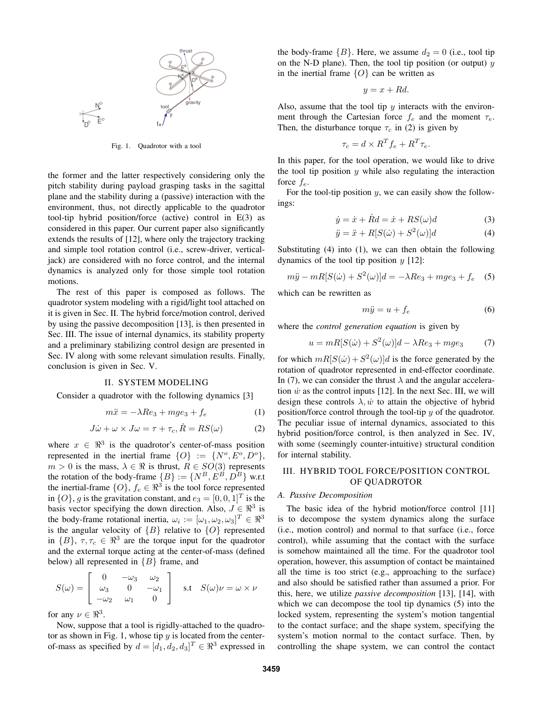

Fig. 1. Quadrotor with a tool

the former and the latter respectively considering only the pitch stability during payload grasping tasks in the sagittal plane and the stability during a (passive) interaction with the environment, thus, not directly applicable to the quadrotor tool-tip hybrid position/force (active) control in E(3) as considered in this paper. Our current paper also significantly extends the results of [12], where only the trajectory tracking and simple tool rotation control (i.e., screw-driver, verticaljack) are considered with no force control, and the internal dynamics is analyzed only for those simple tool rotation motions.

The rest of this paper is composed as follows. The quadrotor system modeling with a rigid/light tool attached on it is given in Sec. II. The hybrid force/motion control, derived by using the passive decomposition [13], is then presented in Sec. III. The issue of internal dynamics, its stability property and a preliminary stabilizing control design are presented in Sec. IV along with some relevant simulation results. Finally, conclusion is given in Sec. V.

#### II. SYSTEM MODELING

Consider a quadrotor with the following dynamics [3]

$$
m\ddot{x} = -\lambda Re_3 + mge_3 + f_e \tag{1}
$$

$$
J\dot{\omega} + \omega \times J\omega = \tau + \tau_c, \dot{R} = RS(\omega)
$$
 (2)

where  $x \in \mathbb{R}^3$  is the quadrotor's center-of-mass position represented in the inertial frame  $\{O\}$  :=  $\{N^o, E^o, D^o\}$ ,  $m > 0$  is the mass,  $\lambda \in \Re$  is thrust,  $R \in SO(3)$  represents the rotation of the body-frame  $\{B\} := \{N^B, E^B, D^B\}$  w.r.t the inertial-frame  $\{O\}$ ,  $f_e \in \Re^3$  is the tool force represented in  $\{O\}$ , g is the gravitation constant, and  $e_3 = [0, 0, 1]^T$  is the basis vector specifying the down direction. Also,  $J \in \mathbb{R}^3$  is the body-frame rotational inertia,  $\omega_i := [\omega_1, \omega_2, \omega_3]^T \in \mathbb{R}^3$ is the angular velocity of  ${B}$  relative to  ${O}$  represented in  $\{B\}$ ,  $\tau, \tau_c \in \Re^3$  are the torque input for the quadrotor and the external torque acting at the center-of-mass (defined below) all represented in  ${B}$  frame, and

$$
S(\omega) = \begin{bmatrix} 0 & -\omega_3 & \omega_2 \\ \omega_3 & 0 & -\omega_1 \\ -\omega_2 & \omega_1 & 0 \end{bmatrix} \quad \text{s.t} \quad S(\omega)\nu = \omega \times \nu
$$

for any  $\nu \in \mathbb{R}^3$ .

Now, suppose that a tool is rigidly-attached to the quadrotor as shown in Fig. 1, whose tip  $y$  is located from the centerof-mass as specified by  $d = [d_1, d_2, d_3]^T \in \mathbb{R}^3$  expressed in the body-frame  ${B}$ . Here, we assume  $d_2 = 0$  (i.e., tool tip on the N-D plane). Then, the tool tip position (or output)  $y$ in the inertial frame  ${O}$  can be written as

$$
y = x + Rd.
$$

Also, assume that the tool tip  $y$  interacts with the environment through the Cartesian force  $f_e$  and the moment  $\tau_e$ . Then, the disturbance torque  $\tau_c$  in (2) is given by

$$
\tau_c = d \times R^T f_e + R^T \tau_e.
$$

In this paper, for the tool operation, we would like to drive the tool tip position  $y$  while also regulating the interaction force  $f_e$ .

For the tool-tip position  $y$ , we can easily show the followings:

$$
\dot{y} = \dot{x} + \dot{R}d = \dot{x} + RS(\omega)d\tag{3}
$$

$$
\ddot{y} = \ddot{x} + R[S(\dot{\omega}) + S^2(\omega)]d \tag{4}
$$

Substituting (4) into (1), we can then obtain the following dynamics of the tool tip position  $y$  [12]:

$$
m\ddot{y} - mR[S(\dot{\omega}) + S^2(\omega)]d = -\lambda Re_3 + mge_3 + f_e \quad (5)
$$

which can be rewritten as

$$
m\ddot{y} = u + f_e \tag{6}
$$

where the *control generation equation* is given by

$$
u = mR[S(\dot{\omega}) + S^2(\omega)]d - \lambda Re_3 + mge_3 \tag{7}
$$

for which  $mR[S(\omega) + S^2(\omega)]d$  is the force generated by the rotation of quadrotor represented in end-effector coordinate. In (7), we can consider the thrust  $\lambda$  and the angular acceleration  $\dot{w}$  as the control inputs [12]. In the next Sec. III, we will design these controls  $\lambda$ ,  $\dot{w}$  to attain the objective of hybrid position/force control through the tool-tip  $y$  of the quadrotor. The peculiar issue of internal dynamics, associated to this hybrid position/force control, is then analyzed in Sec. IV, with some (seemingly counter-intuitive) structural condition for internal stability.

## III. HYBRID TOOL FORCE/POSITION CONTROL OF QUADROTOR

#### *A. Passive Decomposition*

The basic idea of the hybrid motion/force control [11] is to decompose the system dynamics along the surface (i.e., motion control) and normal to that surface (i.e., force control), while assuming that the contact with the surface is somehow maintained all the time. For the quadrotor tool operation, however, this assumption of contact be maintained all the time is too strict (e.g., approaching to the surface) and also should be satisfied rather than assumed a prior. For this, here, we utilize *passive decomposition* [13], [14], with which we can decompose the tool tip dynamics (5) into the locked system, representing the system's motion tangential to the contact surface; and the shape system, specifying the system's motion normal to the contact surface. Then, by controlling the shape system, we can control the contact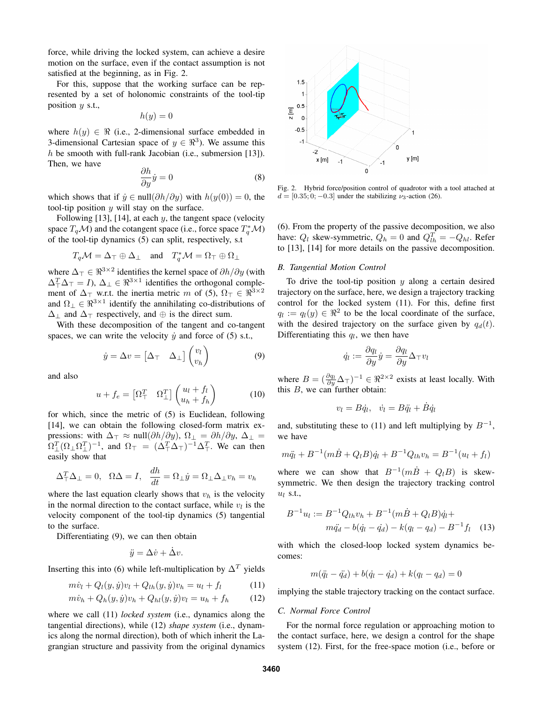force, while driving the locked system, can achieve a desire motion on the surface, even if the contact assumption is not satisfied at the beginning, as in Fig. 2.

For this, suppose that the working surface can be represented by a set of holonomic constraints of the tool-tip position  $y$  s.t.,

$$
h(y)=0
$$

where  $h(y) \in \Re$  (i.e., 2-dimensional surface embedded in 3-dimensional Cartesian space of  $y \in \mathbb{R}^3$ ). We assume this h be smooth with full-rank Jacobian (i.e., submersion [13]). Then, we have

$$
\frac{\partial h}{\partial y}\dot{y} = 0\tag{8}
$$

which shows that if  $\dot{y} \in \text{null}(\partial h/\partial y)$  with  $h(y(0)) = 0$ , the tool-tip position  $y$  will stay on the surface.

Following  $[13]$ ,  $[14]$ , at each  $y$ , the tangent space (velocity space  $T_qM$ ) and the cotangent space (i.e., force space  $T_q^*\mathcal{M}$ ) of the tool-tip dynamics (5) can split, respectively, s.t

$$
T_q\mathcal{M} = \Delta_{\top} \oplus \Delta_{\bot}
$$
 and  $T_q^*\mathcal{M} = \Omega_{\top} \oplus \Omega_{\bot}$ 

where  $\Delta_{\top} \in \mathbb{R}^{3 \times 2}$  identifies the kernel space of  $\partial h / \partial y$  (with  $\Delta_{\perp}^T \Delta_{\perp} = I$ ),  $\Delta_{\perp} \in \Re^{3 \times 1}$  identifies the orthogonal complement of  $\Delta_{\top}$  w.r.t. the inertia metric m of (5),  $\Omega_{\top} \in \mathbb{R}^{3 \times 2}$ and  $\Omega_{\perp} \in \Re^{3 \times 1}$  identify the annihilating co-distributions of  $\Delta_{\perp}$  and  $\Delta_{\perp}$  respectively, and  $\oplus$  is the direct sum.

With these decomposition of the tangent and co-tangent spaces, we can write the velocity  $\dot{y}$  and force of (5) s.t.,

$$
\dot{y} = \Delta v = \begin{bmatrix} \Delta_{\top} & \Delta_{\perp} \end{bmatrix} \begin{pmatrix} v_l \\ v_h \end{pmatrix} \tag{9}
$$

and also

$$
u + f_e = \begin{bmatrix} \Omega_{\perp}^T & \Omega_{\perp}^T \end{bmatrix} \begin{pmatrix} u_l + f_l \\ u_h + f_h \end{pmatrix}
$$
 (10)

for which, since the metric of (5) is Euclidean, following [14], we can obtain the following closed-form matrix expressions: with  $\Delta_{\top} \approx \text{null}(\partial h/\partial y)$ ,  $\Omega_{\perp} = \partial h/\partial y$ ,  $\Delta_{\perp} =$  $\Omega_{\perp}^T (\Omega_{\perp} \Omega_{\perp}^T)^{-1}$ , and  $\Omega_{\perp} = (\Delta_{\perp}^T \Delta_{\perp})^{-1} \Delta_{\perp}^T$ . We can then easily show that

$$
\Delta_{\top}^T \Delta_{\bot} = 0, \quad \Omega \Delta = I, \quad \frac{dh}{dt} = \Omega_{\bot} \dot{y} = \Omega_{\bot} \Delta_{\bot} v_h = v_h
$$

where the last equation clearly shows that  $v_h$  is the velocity in the normal direction to the contact surface, while  $v_l$  is the velocity component of the tool-tip dynamics (5) tangential to the surface.

Differentiating (9), we can then obtain

$$
\ddot{y} = \Delta \dot{v} + \dot{\Delta} v.
$$

Inserting this into (6) while left-multiplication by  $\Delta^T$  yields

$$
m\dot{v}_l + Q_l(y, \dot{y})v_l + Q_{lh}(y, \dot{y})v_h = u_l + f_l \tag{11}
$$

$$
m\dot{v}_h + Q_h(y, \dot{y})v_h + Q_{hl}(y, \dot{y})v_l = u_h + f_h \qquad (12)
$$

where we call (11) *locked system* (i.e., dynamics along the tangential directions), while (12) *shape system* (i.e., dynamics along the normal direction), both of which inherit the Lagrangian structure and passivity from the original dynamics



Fig. 2. Hybrid force/position control of quadrotor with a tool attached at  $d = [0.35; 0; -0.3]$  under the stabilizing  $\nu_3$ -action (26).

(6). From the property of the passive decomposition, we also have:  $Q_l$  skew-symmetric,  $Q_h = 0$  and  $Q_{lh}^T = -Q_{hl}$ . Refer to [13], [14] for more details on the passive decomposition.

## *B. Tangential Motion Control*

To drive the tool-tip position  $y$  along a certain desired trajectory on the surface, here, we design a trajectory tracking control for the locked system (11). For this, define first  $q_l := q_l(y) \in \Re^2$  to be the local coordinate of the surface, with the desired trajectory on the surface given by  $q_d(t)$ . Differentiating this  $q_l$ , we then have

$$
\dot{q}_l := \frac{\partial q_l}{\partial y} \dot{y} = \frac{\partial q_l}{\partial y} \Delta_{\top} v_l
$$

where  $B = (\frac{\partial q_l}{\partial y} \Delta_T)^{-1} \in \Re^{2 \times 2}$  exists at least locally. With this  $B$ , we can further obtain:

$$
v_l = B\dot{q}_l, \quad \dot{v}_l = B\ddot{q}_l + \dot{B}\dot{q}_l
$$

and, substituting these to (11) and left multiplying by  $B^{-1}$ , we have

$$
m\ddot{q}_l + B^{-1}(m\dot{B} + Q_lB)\dot{q}_l + B^{-1}Q_{lh}v_h = B^{-1}(u_l + f_l)
$$

where we can show that  $B^{-1}(m\dot{B} + Q_lB)$  is skewsymmetric. We then design the trajectory tracking control  $u_l$  s.t.,

$$
B^{-1}u_l := B^{-1}Q_{lh}v_h + B^{-1}(m\dot{B} + Q_lB)\dot{q}_l +
$$
  

$$
m\ddot{q}_d - b(\dot{q}_l - \dot{q}_d) - k(q_l - q_d) - B^{-1}f_l \quad (13)
$$

with which the closed-loop locked system dynamics becomes:

$$
m(\ddot{q}_l - \ddot{q}_d) + b(\dot{q}_l - \dot{q}_d) + k(q_l - q_d) = 0
$$

implying the stable trajectory tracking on the contact surface.

#### *C. Normal Force Control*

For the normal force regulation or approaching motion to the contact surface, here, we design a control for the shape system (12). First, for the free-space motion (i.e., before or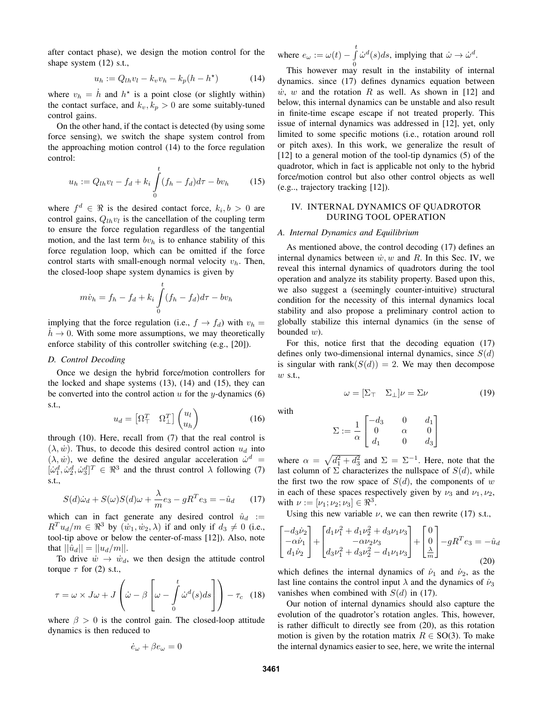after contact phase), we design the motion control for the shape system (12) s.t.,

$$
u_h := Q_{lh}v_l - k_v v_h - k_p(h - h^*)
$$
 (14)

where  $v_h = \dot{h}$  and  $h^*$  is a point close (or slightly within) the contact surface, and  $k_v, k_p > 0$  are some suitably-tuned control gains.

On the other hand, if the contact is detected (by using some force sensing), we switch the shape system control from the approaching motion control (14) to the force regulation control:

$$
u_h := Q_{lh}v_l - f_d + k_i \int_0^t (f_h - f_d)d\tau - bv_h \qquad (15)
$$

where  $f^d \in \Re$  is the desired contact force,  $k_i, b > 0$  are control gains,  $Q_{lh}v_l$  is the cancellation of the coupling term to ensure the force regulation regardless of the tangential motion, and the last term  $bv<sub>h</sub>$  is to enhance stability of this force regulation loop, which can be omitted if the force control starts with small-enough normal velocity  $v_h$ . Then, the closed-loop shape system dynamics is given by

$$
m\dot{v}_h = f_h - f_d + k_i \int_0^t (f_h - f_d)d\tau - b v_h
$$

implying that the force regulation (i.e.,  $f \rightarrow f_d$ ) with  $v_h =$  $h \to 0$ . With some more assumptions, we may theoretically enforce stability of this controller switching (e.g., [20]).

#### *D. Control Decoding*

Once we design the hybrid force/motion controllers for the locked and shape systems (13), (14) and (15), they can be converted into the control action  $u$  for the  $y$ -dynamics (6) s.t.,

$$
u_d = \begin{bmatrix} \Omega^T_+ & \Omega^T_{\perp} \end{bmatrix} \begin{pmatrix} u_l \\ u_h \end{pmatrix} \tag{16}
$$

through (10). Here, recall from (7) that the real control is  $(\lambda, \dot{w})$ . Thus, to decode this desired control action  $u_d$  into  $(\lambda, \dot{w})$ , we define the desired angular acceleration  $\dot{\omega}^d$  =  $[\dot{\omega}_1^d, \dot{\omega}_2^d, \dot{\omega}_3^d]^T \in \Re^3$  and the thrust control  $\lambda$  following (7) s.t.,

$$
S(d)\dot{\omega}_d + S(\omega)S(d)\omega + \frac{\lambda}{m}e_3 - gR^T e_3 = -\hat{u}_d \qquad (17)
$$

which can in fact generate any desired control  $\hat{u}_d$  :=  $R^T u_d/m \in \mathbb{R}^3$  by  $(\dot{w}_1, \dot{w}_2, \lambda)$  if and only if  $d_3 \neq 0$  (i.e., tool-tip above or below the center-of-mass [12]). Also, note that  $||\hat{u}_d|| = ||u_d/m||$ .

To drive  $\dot{w} \rightarrow \dot{w}_d$ , we then design the attitude control torque  $\tau$  for (2) s.t.,

$$
\tau = \omega \times J\omega + J\left(\dot{\omega} - \beta \left[\omega - \int_{0}^{t} \dot{\omega}^{d}(s)ds\right]\right) - \tau_{c} \quad (18)
$$

where  $\beta > 0$  is the control gain. The closed-loop attitude dynamics is then reduced to

$$
\dot{e}_{\omega} + \beta e_{\omega} = 0
$$

where  $e_{\omega} := \omega(t) - \int_{0}^{t} \dot{\omega}^{d}(s)ds$ , implying that  $\dot{\omega} \to \dot{\omega}^{d}$ .

This however may result in the instability of internal dynamics. since (17) defines dynamics equation between  $\dot{w}$ , w and the rotation R as well. As shown in [12] and below, this internal dynamics can be unstable and also result in finite-time escape escape if not treated properly. This issue of internal dynamics was addressed in [12], yet, only limited to some specific motions (i.e., rotation around roll or pitch axes). In this work, we generalize the result of [12] to a general motion of the tool-tip dynamics  $(5)$  of the quadrotor, which in fact is applicable not only to the hybrid force/motion control but also other control objects as well (e.g.., trajectory tracking [12]).

# IV. INTERNAL DYNAMICS OF QUADROTOR DURING TOOL OPERATION

#### *A. Internal Dynamics and Equilibrium*

As mentioned above, the control decoding (17) defines an internal dynamics between  $\dot{w}, w$  and R. In this Sec. IV, we reveal this internal dynamics of quadrotors during the tool operation and analyze its stability property. Based upon this, we also suggest a (seemingly counter-intuitive) structural condition for the necessity of this internal dynamics local stability and also propose a preliminary control action to globally stabilize this internal dynamics (in the sense of bounded  $w$ ).

For this, notice first that the decoding equation (17) defines only two-dimensional internal dynamics, since  $S(d)$ is singular with rank $(S(d)) = 2$ . We may then decompose w s.t.,

$$
\omega = [\Sigma_{\top} \quad \Sigma_{\perp}] \nu = \Sigma \nu \tag{19}
$$

with

$$
\Sigma := \frac{1}{\alpha} \begin{bmatrix} -d_3 & 0 & d_1 \\ 0 & \alpha & 0 \\ d_1 & 0 & d_3 \end{bmatrix}
$$

where  $\alpha = \sqrt{d_1^2 + d_3^2}$  and  $\Sigma = \Sigma^{-1}$ . Here, note that the last column of  $\Sigma$  characterizes the nullspace of  $S(d)$ , while the first two the row space of  $S(d)$ , the components of w in each of these spaces respectively given by  $\nu_3$  and  $\nu_1, \nu_2$ , with  $\nu := [\nu_1; \nu_2; \nu_3] \in \Re^3$ .

Using this new variable  $\nu$ , we can then rewrite (17) s.t.,

$$
\begin{bmatrix} -d_3\dot{\nu}_2 \\ -\alpha\dot{\nu}_1 \\ d_1\dot{\nu}_2 \end{bmatrix} + \begin{bmatrix} d_1\nu_1^2 + d_1\nu_2^2 + d_3\nu_1\nu_3 \\ -\alpha\nu_2\nu_3 \\ d_3\nu_1^2 + d_3\nu_2^2 - d_1\nu_1\nu_3 \end{bmatrix} + \begin{bmatrix} 0 \\ 0 \\ \frac{\lambda}{m} \end{bmatrix} - gR^T e_3 = -\hat{u}_d
$$
\n(20)

which defines the internal dynamics of  $\dot{\nu}_1$  and  $\dot{\nu}_2$ , as the last line contains the control input  $\lambda$  and the dynamics of  $\dot{\nu}_3$ vanishes when combined with  $S(d)$  in (17).

Our notion of internal dynamics should also capture the evolution of the quadrotor's rotation angles. This, however, is rather difficult to directly see from (20), as this rotation motion is given by the rotation matrix  $R \in SO(3)$ . To make the internal dynamics easier to see, here, we write the internal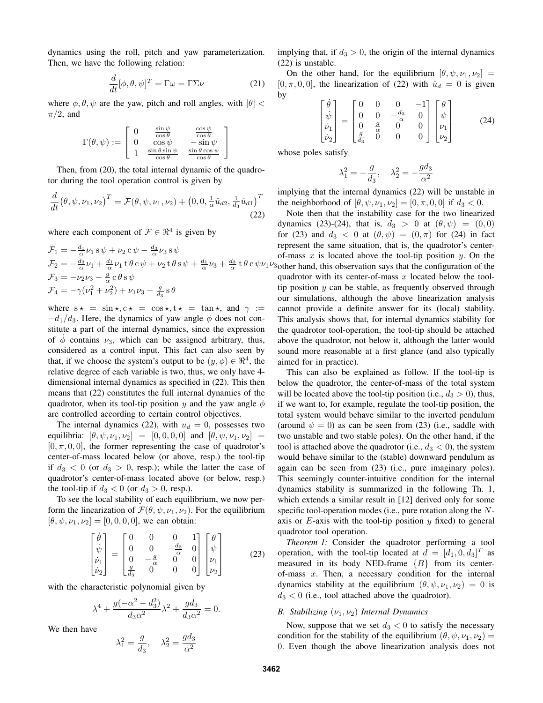dynamics using the roll, pitch and yaw parameterization. Then, we have the following relation:

$$
\frac{d}{dt}[\phi, \theta, \psi]^T = \Gamma \omega = \Gamma \Sigma \nu \tag{21}
$$

where  $\phi$ ,  $\theta$ ,  $\psi$  are the yaw, pitch and roll angles, with  $|\theta|$  <  $\pi/2$ , and

$$
\Gamma(\theta,\psi) := \left[ \begin{array}{ccc} 0 & \frac{\sin\psi}{\cos\theta} & \frac{\cos\psi}{\cos\theta} \\ 0 & \cos\psi & -\sin\psi \\ 1 & \frac{\sin\theta\sin\psi}{\cos\theta} & \frac{\sin\theta\cos\psi}{\cos\theta} \end{array} \right]
$$

Then, from (20), the total internal dynamic of the quadrotor during the tool operation control is given by

$$
\frac{d}{dt}(\theta, \psi, \nu_1, \nu_2)^T = \mathcal{F}(\theta, \psi, \nu_1, \nu_2) + (0, 0, \frac{1}{\alpha}\hat{u}_{d2}, \frac{1}{d_3}\hat{u}_{d1})^T
$$
\n(22)

where each component of  $\mathcal{F} \in \mathbb{R}^4$  is given by

$$
\mathcal{F}_1 = -\frac{d_1}{\alpha} \nu_1 s \psi + \nu_2 c \psi - \frac{d_3}{\alpha} \nu_3 s \psi \n\mathcal{F}_2 = -\frac{d_3}{\alpha} \nu_1 + \frac{d_1}{\alpha} \nu_1 t \theta c \psi + \nu_2 t \theta s \psi + \frac{d_1}{\alpha} \nu_3 + \frac{d_3}{\alpha} t \theta c \psi \nu_1 \nu_3 \n\mathcal{F}_3 = -\nu_2 \nu_3 - \frac{g}{\alpha} c \theta s \psi \n\mathcal{F}_4 = -\gamma (\nu_1^2 + \nu_2^2) + \nu_1 \nu_3 + \frac{g}{d_3} s \theta
$$

where  $s \star = \sin \star, c \star = \cos \star, t \star = \tan \star,$  and  $\gamma :=$  $-d_1/d_3$ . Here, the dynamics of yaw angle  $\phi$  does not constitute a part of the internal dynamics, since the expression of  $\phi$  contains  $\nu_3$ , which can be assigned arbitrary, thus, considered as a control input. This fact can also seen by that, if we choose the system's output to be  $(y, \phi) \in \mathbb{R}^4$ , the relative degree of each variable is two, thus, we only have 4 dimensional internal dynamics as specified in (22). This then means that (22) constitutes the full internal dynamics of the quadrotor, when its tool-tip position y and the yaw angle  $\phi$ are controlled according to certain control objectives.

The internal dynamics (22), with  $u_d = 0$ , possesses two equilibria:  $[\theta, \psi, \nu_1, \nu_2] = [0, 0, 0, 0]$  and  $[\theta, \psi, \nu_1, \nu_2] =$  $[0, \pi, 0, 0]$ , the former representing the case of quadrotor's center-of-mass located below (or above, resp.) the tool-tip if  $d_3 < 0$  (or  $d_3 > 0$ , resp.); while the latter the case of quadrotor's center-of-mass located above (or below, resp.) the tool-tip if  $d_3 < 0$  (or  $d_3 > 0$ , resp.).

To see the local stability of each equilibrium, we now perform the linearization of  $\mathcal{F}(\theta, \psi, \nu_1, \nu_2)$ . For the equilibrium  $[\theta, \psi, \nu_1, \nu_2] = [0, 0, 0, 0]$ , we can obtain:

$$
\begin{bmatrix}\n\dot{\theta} \\
\dot{\psi} \\
\dot{\nu}_1 \\
\dot{\nu}_2\n\end{bmatrix} = \begin{bmatrix}\n0 & 0 & 0 & 1 \\
0 & 0 & -\frac{d_3}{\alpha} & 0 \\
0 & -\frac{g}{\alpha} & 0 & 0 \\
\frac{g}{d_3} & 0 & 0 & 0\n\end{bmatrix} \begin{bmatrix}\n\theta \\
\psi \\
\nu_1 \\
\nu_2\n\end{bmatrix}
$$
\n(23)

with the characteristic polynomial given by

$$
\lambda^{4} + \frac{g(-\alpha^{2} - d_{3}^{2})}{d_{3}\alpha^{2}}\lambda^{2} + \frac{g d_{3}}{d_{3}\alpha^{2}} = 0.
$$

We then have

$$
\lambda_1^2 = \frac{g}{d_3}, \quad \lambda_2^2 = \frac{g d_3}{\alpha^2}
$$

implying that, if  $d_3 > 0$ , the origin of the internal dynamics (22) is unstable.

On the other hand, for the equilibrium  $[\theta, \psi, \nu_1, \nu_2] =$  $[0, \pi, 0, 0]$ , the linearization of (22) with  $\hat{u}_d = 0$  is given by

$$
\begin{bmatrix} \dot{\theta} \\ \dot{\psi} \\ \dot{\nu}_1 \\ \dot{\nu}_2 \end{bmatrix} = \begin{bmatrix} 0 & 0 & 0 & -1 \\ 0 & 0 & -\frac{d_3}{\alpha} & 0 \\ 0 & \frac{g}{\alpha} & 0 & 0 \\ \frac{g}{d_3} & 0 & 0 & 0 \end{bmatrix} \begin{bmatrix} \theta \\ \psi \\ \nu_1 \\ \nu_2 \end{bmatrix}
$$
(24)

whose poles satisfy

$$
\lambda_1^2=-\frac{g}{d_3},\quad \lambda_2^2=-\frac{g d_3}{\alpha^2}
$$

implying that the internal dynamics (22) will be unstable in the neighborhood of  $[\theta, \psi, \nu_1, \nu_2] = [0, \pi, 0, 0]$  if  $d_3 < 0$ .

Note then that the instability case for the two linearized dynamics (23)-(24), that is,  $d_3 > 0$  at  $(\theta, \psi) = (0, 0)$ for (23) and  $d_3 < 0$  at  $(\theta, \psi) = (0, \pi)$  for (24) in fact represent the same situation, that is, the quadrotor's centerof-mass x is located above the tool-tip position  $y$ . On the 3 other hand, this observation says that the configuration of the quadrotor with its center-of-mass  $x$  located below the tooltip position  $y$  can be stable, as frequently observed through our simulations, although the above linearization analysis cannot provide a definite answer for its (local) stability. This analysis shows that, for internal dynamics stability for the quadrotor tool-operation, the tool-tip should be attached above the quadrotor, not below it, although the latter would sound more reasonable at a first glance (and also typically aimed for in practice).

This can also be explained as follow. If the tool-tip is below the quadrotor, the center-of-mass of the total system will be located above the tool-tip position (i.e.,  $d_3 > 0$ ), thus, if we want to, for example, regulate the tool-tip position, the total system would behave similar to the inverted pendulum (around  $\psi = 0$ ) as can be seen from (23) (i.e., saddle with two unstable and two stable poles). On the other hand, if the tool is attached above the quadrotor (i.e.,  $d_3 < 0$ ), the system would behave similar to the (stable) downward pendulum as again can be seen from (23) (i.e., pure imaginary poles). This seemingly counter-intuitive condition for the internal dynamics stability is summarized in the following Th. 1, which extends a similar result in [12] derived only for some specific tool-operation modes (i.e., pure rotation along the  $N$ axis or  $E$ -axis with the tool-tip position  $y$  fixed) to general quadrotor tool operation.

*Theorem 1:* Consider the quadrotor performing a tool operation, with the tool-tip located at  $d = [d_1, 0, d_3]^T$  as measured in its body NED-frame  ${B}$  from its centerof-mass  $x$ . Then, a necessary condition for the internal dynamics stability at the equilibrium  $(\theta, \psi, \nu_1, \nu_2) = 0$  is  $d_3 < 0$  (i.e., tool attached above the quadrotor).

#### *B. Stabilizing*  $(\nu_1, \nu_2)$  *Internal Dynamics*

Now, suppose that we set  $d_3 < 0$  to satisfy the necessary condition for the stability of the equilibrium  $(\theta, \psi, \nu_1, \nu_2)$  = 0. Even though the above linearization analysis does not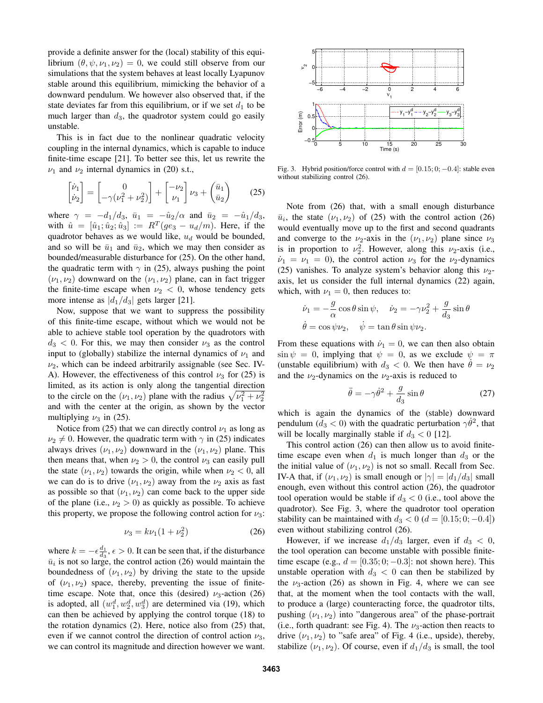provide a definite answer for the (local) stability of this equilibrium  $(\theta, \psi, \nu_1, \nu_2) = 0$ , we could still observe from our simulations that the system behaves at least locally Lyapunov stable around this equilibrium, mimicking the behavior of a downward pendulum. We however also observed that, if the state deviates far from this equilibrium, or if we set  $d_1$  to be much larger than  $d_3$ , the quadrotor system could go easily unstable.

This is in fact due to the nonlinear quadratic velocity coupling in the internal dynamics, which is capable to induce finite-time escape [21]. To better see this, let us rewrite the  $\nu_1$  and  $\nu_2$  internal dynamics in (20) s.t.,

$$
\begin{bmatrix} \dot{\nu}_1 \\ \dot{\nu}_2 \end{bmatrix} = \begin{bmatrix} 0 \\ -\gamma(\nu_1^2 + \nu_2^2) \end{bmatrix} + \begin{bmatrix} -\nu_2 \\ \nu_1 \end{bmatrix} \nu_3 + \begin{pmatrix} \bar{u}_1 \\ \bar{u}_2 \end{pmatrix} \tag{25}
$$

where  $\gamma = -d_1/d_3$ ,  $\bar{u}_1 = -\hat{u}_2/\alpha$  and  $\bar{u}_2 = -\hat{u}_1/d_3$ , with  $\hat{u} = [\hat{u}_1; \hat{u}_2; \hat{u}_3] := R^T(ge_3 - u_d/m)$ . Here, if the quadrotor behaves as we would like,  $u_d$  would be bounded, and so will be  $\bar{u}_1$  and  $\bar{u}_2$ , which we may then consider as bounded/measurable disturbance for (25). On the other hand, the quadratic term with  $\gamma$  in (25), always pushing the point  $(\nu_1, \nu_2)$  downward on the  $(\nu_1, \nu_2)$  plane, can in fact trigger the finite-time escape when  $\nu_2 < 0$ , whose tendency gets more intense as  $|d_1/d_3|$  gets larger [21].

Now, suppose that we want to suppress the possibility of this finite-time escape, without which we would not be able to achieve stable tool operation by the quadrotors with  $d_3$  < 0. For this, we may then consider  $\nu_3$  as the control input to (globally) stabilize the internal dynamics of  $\nu_1$  and  $\nu_2$ , which can be indeed arbitrarily assignable (see Sec. IV-A). However, the effectiveness of this control  $\nu_3$  for (25) is limited, as its action is only along the tangential direction to the circle on the  $(\nu_1, \nu_2)$  plane with the radius  $\sqrt{\nu_1^2 + \nu_2^2}$ and with the center at the origin, as shown by the vector multiplying  $\nu_3$  in (25).

Notice from (25) that we can directly control  $\nu_1$  as long as  $\nu_2 \neq 0$ . However, the quadratic term with  $\gamma$  in (25) indicates always drives  $(\nu_1, \nu_2)$  downward in the  $(\nu_1, \nu_2)$  plane. This then means that, when  $\nu_2 > 0$ , the control  $\nu_3$  can easily pull the state  $(\nu_1, \nu_2)$  towards the origin, while when  $\nu_2 < 0$ , all we can do is to drive  $(\nu_1, \nu_2)$  away from the  $\nu_2$  axis as fast as possible so that  $(\nu_1, \nu_2)$  can come back to the upper side of the plane (i.e.,  $\nu_2 > 0$ ) as quickly as possible. To achieve this property, we propose the following control action for  $\nu_3$ :

$$
\nu_3 = k\nu_1(1 + \nu_2^2) \tag{26}
$$

where  $k = -\epsilon \frac{d_1}{d_3}, \epsilon > 0$ . It can be seen that, if the disturbance  $\bar{u}_i$  is not so large, the control action (26) would maintain the boundedness of  $(\nu_1, \nu_2)$  by driving the state to the upside of  $(\nu_1, \nu_2)$  space, thereby, preventing the issue of finitetime escape. Note that, once this (desired)  $\nu_3$ -action (26) is adopted, all  $(w_1^d, w_2^d, w_3^d)$  are determined via (19), which can then be achieved by applying the control torque (18) to the rotation dynamics (2). Here, notice also from (25) that, even if we cannot control the direction of control action  $\nu_3$ , we can control its magnitude and direction however we want.



Fig. 3. Hybrid position/force control with  $d = [0.15; 0; -0.4]$ : stable even without stabilizing control  $(26)$ .

Note from (26) that, with a small enough disturbance  $\bar{u}_i$ , the state  $(\nu_1, \nu_2)$  of (25) with the control action (26) would eventually move up to the first and second quadrants and converge to the  $\nu_2$ -axis in the  $(\nu_1, \nu_2)$  plane since  $\nu_3$ is in proportion to  $\nu_2^2$ . However, along this  $\nu_2$ -axis (i.e.,  $\dot{\nu}_1 = \nu_1 = 0$ ), the control action  $\nu_3$  for the  $\nu_2$ -dynamics (25) vanishes. To analyze system's behavior along this  $\nu_2$ axis, let us consider the full internal dynamics (22) again, which, with  $\nu_1 = 0$ , then reduces to:

$$
\dot{\nu}_1 = -\frac{g}{\alpha} \cos \theta \sin \psi, \quad \dot{\nu}_2 = -\gamma \nu_2^2 + \frac{g}{d_3} \sin \theta
$$
  

$$
\dot{\theta} = \cos \psi \nu_2, \quad \dot{\psi} = \tan \theta \sin \psi \nu_2.
$$

From these equations with  $\dot{\nu}_1 = 0$ , we can then also obtain  $\sin \psi = 0$ , implying that  $\psi = 0$ , as we exclude  $\psi = \pi$ (unstable equilibrium) with  $d_3 < 0$ . We then have  $\dot{\theta} = \nu_2$ and the  $\nu_2$ -dynamics on the  $\nu_2$ -axis is reduced to

$$
\ddot{\theta} = -\gamma \dot{\theta}^2 + \frac{g}{d_3} \sin \theta \tag{27}
$$

which is again the dynamics of the (stable) downward pendulum  $(d_3 < 0)$  with the quadratic perturbation  $\gamma \dot{\theta}^2$ , that will be locally marginally stable if  $d_3 < 0$  [12].

This control action (26) can then allow us to avoid finitetime escape even when  $d_1$  is much longer than  $d_3$  or the the initial value of  $(\nu_1, \nu_2)$  is not so small. Recall from Sec. IV-A that, if  $(\nu_1, \nu_2)$  is small enough or  $|\gamma| = |d_1/d_3|$  small enough, even without this control action (26), the quadrotor tool operation would be stable if  $d_3 < 0$  (i.e., tool above the quadrotor). See Fig. 3, where the quadrotor tool operation stability can be maintained with  $d_3 < 0$  ( $d = [0.15; 0; -0.4]$ ) even without stabilizing control (26).

However, if we increase  $d_1/d_3$  larger, even if  $d_3 < 0$ , the tool operation can become unstable with possible finitetime escape (e.g.,  $d = [0.35; 0; -0.3]$ : not shown here). This unstable operation with  $d_3 < 0$  can then be stabilized by the  $\nu_3$ -action (26) as shown in Fig. 4, where we can see that, at the moment when the tool contacts with the wall, to produce a (large) counteracting force, the quadrotor tilts, pushing  $(\nu_1, \nu_2)$  into "dangerous area" of the phase-portrait (i.e., forth quadrant: see Fig. 4). The  $\nu_3$ -action then reacts to drive  $(\nu_1, \nu_2)$  to "safe area" of Fig. 4 (i.e., upside), thereby, stabilize  $(\nu_1, \nu_2)$ . Of course, even if  $d_1/d_3$  is small, the tool